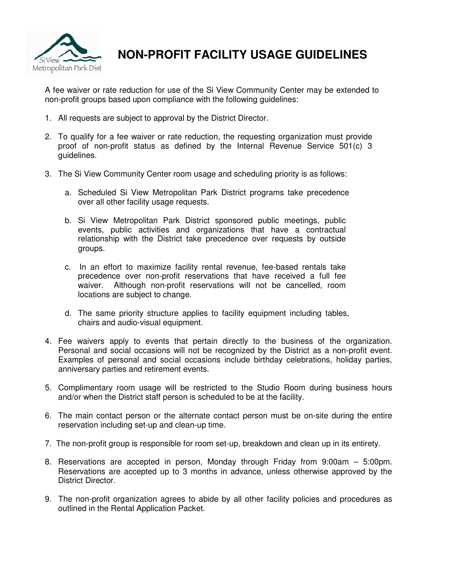

**NON-PROFIT FACILITY USAGE GUIDELINES** 

A fee waiver or rate reduction for use of the Si View Community Center may be extended to non-profit groups based upon compliance with the following guidelines:

- 1. All requests are subject to approval by the District Director.
- 2. To qualify for a fee waiver or rate reduction, the requesting organization must provide proof of non-profit status as defined by the Internal Revenue Service 501(c) 3 guidelines.
- 3. The Si View Community Center room usage and scheduling priority is as follows:
	- a. Scheduled Si View Metropolitan Park District programs take precedence over all other facility usage requests.
	- b. Si View Metropolitan Park District sponsored public meetings, public events, public activities and organizations that have a contractual relationship with the District take precedence over requests by outside groups.
	- c. In an effort to maximize facility rental revenue, fee-based rentals take precedence over non-profit reservations that have received a full fee waiver. Although non-profit reservations will not be cancelled, room locations are subject to change.
	- d. The same priority structure applies to facility equipment including tables, chairs and audio-visual equipment.
- 4. Fee waivers apply to events that pertain directly to the business of the organization. Personal and social occasions will not be recognized by the District as a non-profit event. Examples of personal and social occasions include birthday celebrations, holiday parties, anniversary parties and retirement events.
- 5. Complimentary room usage will be restricted to the Studio Room during business hours and/or when the District staff person is scheduled to be at the facility.
- 6. The main contact person or the alternate contact person must be on-site during the entire reservation including set-up and clean-up time.
- 7. The non-profit group is responsible for room set-up, breakdown and clean up in its entirety.
- 8. Reservations are accepted in person, Monday through Friday from 9:00am 5:00pm. Reservations are accepted up to 3 months in advance, unless otherwise approved by the District Director.
- 9. The non-profit organization agrees to abide by all other facility policies and procedures as outlined in the Rental Application Packet.